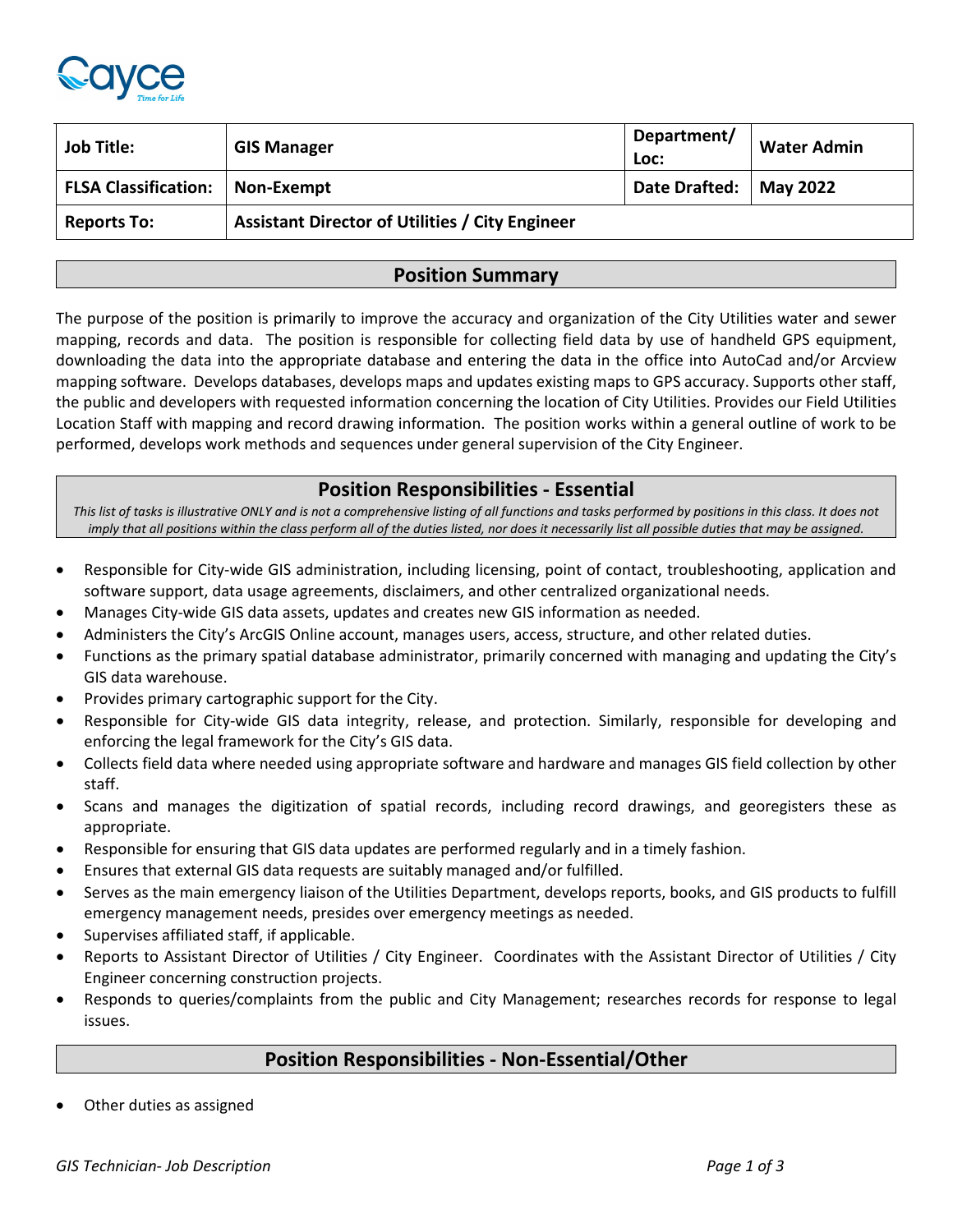

| <b>Job Title:</b>           | <b>GIS Manager</b>                                     | Department/<br>Loc:      | <b>Water Admin</b> |
|-----------------------------|--------------------------------------------------------|--------------------------|--------------------|
| <b>FLSA Classification:</b> | Non-Exempt                                             | Date Drafted:   May 2022 |                    |
| <b>Reports To:</b>          | <b>Assistant Director of Utilities / City Engineer</b> |                          |                    |

### **Position Summary**

The purpose of the position is primarily to improve the accuracy and organization of the City Utilities water and sewer mapping, records and data. The position is responsible for collecting field data by use of handheld GPS equipment, downloading the data into the appropriate database and entering the data in the office into AutoCad and/or Arcview mapping software. Develops databases, develops maps and updates existing maps to GPS accuracy. Supports other staff, the public and developers with requested information concerning the location of City Utilities. Provides our Field Utilities Location Staff with mapping and record drawing information. The position works within a general outline of work to be performed, develops work methods and sequences under general supervision of the City Engineer.

### **Position Responsibilities - Essential**

*This list of tasks is illustrative ONLY and is not a comprehensive listing of all functions and tasks performed by positions in this class. It does not imply that all positions within the class perform all of the duties listed, nor does it necessarily list all possible duties that may be assigned.*

- Responsible for City-wide GIS administration, including licensing, point of contact, troubleshooting, application and software support, data usage agreements, disclaimers, and other centralized organizational needs.
- Manages City-wide GIS data assets, updates and creates new GIS information as needed.
- Administers the City's ArcGIS Online account, manages users, access, structure, and other related duties.
- Functions as the primary spatial database administrator, primarily concerned with managing and updating the City's GIS data warehouse.
- Provides primary cartographic support for the City.
- Responsible for City-wide GIS data integrity, release, and protection. Similarly, responsible for developing and enforcing the legal framework for the City's GIS data.
- Collects field data where needed using appropriate software and hardware and manages GIS field collection by other staff.
- Scans and manages the digitization of spatial records, including record drawings, and georegisters these as appropriate.
- Responsible for ensuring that GIS data updates are performed regularly and in a timely fashion.
- Ensures that external GIS data requests are suitably managed and/or fulfilled.
- Serves as the main emergency liaison of the Utilities Department, develops reports, books, and GIS products to fulfill emergency management needs, presides over emergency meetings as needed.
- Supervises affiliated staff, if applicable.
- Reports to Assistant Director of Utilities / City Engineer. Coordinates with the Assistant Director of Utilities / City Engineer concerning construction projects.
- Responds to queries/complaints from the public and City Management; researches records for response to legal issues.

## **Position Responsibilities - Non-Essential/Other**

Other duties as assigned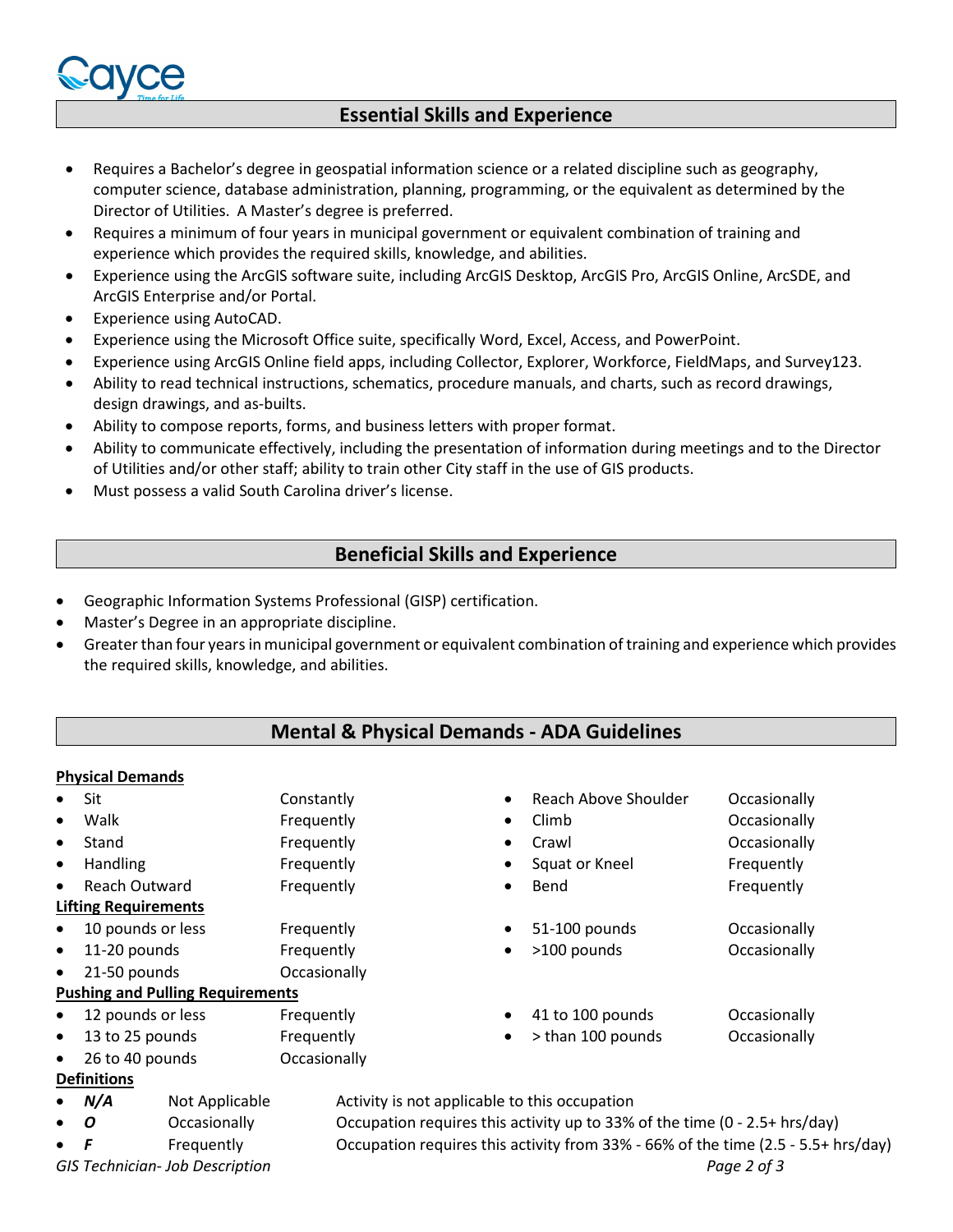

# **Essential Skills and Experience**

- Requires a Bachelor's degree in geospatial information science or a related discipline such as geography, computer science, database administration, planning, programming, or the equivalent as determined by the Director of Utilities. A Master's degree is preferred.
- Requires a minimum of four years in municipal government or equivalent combination of training and experience which provides the required skills, knowledge, and abilities.
- Experience using the ArcGIS software suite, including ArcGIS Desktop, ArcGIS Pro, ArcGIS Online, ArcSDE, and ArcGIS Enterprise and/or Portal.
- Experience using AutoCAD.
- Experience using the Microsoft Office suite, specifically Word, Excel, Access, and PowerPoint.
- Experience using ArcGIS Online field apps, including Collector, Explorer, Workforce, FieldMaps, and Survey123.
- Ability to read technical instructions, schematics, procedure manuals, and charts, such as record drawings, design drawings, and as-builts.
- Ability to compose reports, forms, and business letters with proper format.
- Ability to communicate effectively, including the presentation of information during meetings and to the Director of Utilities and/or other staff; ability to train other City staff in the use of GIS products.
- Must possess a valid South Carolina driver's license.

## **Beneficial Skills and Experience**

- Geographic Information Systems Professional (GISP) certification.
- Master's Degree in an appropriate discipline.
- Greater than four years in municipal government or equivalent combination of training and experience which provides the required skills, knowledge, and abilities.

## **Mental & Physical Demands - ADA Guidelines**

#### **Physical Demands**

|           | Sit                          |                                                                                                 | Constantly   |                                                                            |           | Reach Above Shoulder | Occasionally |
|-----------|------------------------------|-------------------------------------------------------------------------------------------------|--------------|----------------------------------------------------------------------------|-----------|----------------------|--------------|
|           | Walk                         |                                                                                                 | Frequently   |                                                                            | $\bullet$ | Climb                | Occasionally |
| $\bullet$ | Stand                        |                                                                                                 | Frequently   |                                                                            | $\bullet$ | Crawl                | Occasionally |
| $\bullet$ | <b>Handling</b>              |                                                                                                 | Frequently   |                                                                            |           | Squat or Kneel       | Frequently   |
| $\bullet$ | Reach Outward                |                                                                                                 | Frequently   |                                                                            | $\bullet$ | Bend                 | Frequently   |
|           | <b>Lifting Requirements</b>  |                                                                                                 |              |                                                                            |           |                      |              |
| $\bullet$ | 10 pounds or less            |                                                                                                 | Frequently   |                                                                            | $\bullet$ | 51-100 pounds        | Occasionally |
| $\bullet$ | 11-20 pounds                 |                                                                                                 | Frequently   |                                                                            | $\bullet$ | >100 pounds          | Occasionally |
| $\bullet$ | 21-50 pounds<br>Occasionally |                                                                                                 |              |                                                                            |           |                      |              |
|           |                              | <b>Pushing and Pulling Requirements</b>                                                         |              |                                                                            |           |                      |              |
|           | 12 pounds or less            |                                                                                                 | Frequently   |                                                                            | $\bullet$ | 41 to 100 pounds     | Occasionally |
| $\bullet$ | 13 to 25 pounds              |                                                                                                 | Frequently   |                                                                            | $\bullet$ | > than 100 pounds    | Occasionally |
|           | 26 to 40 pounds              |                                                                                                 | Occasionally |                                                                            |           |                      |              |
|           | <b>Definitions</b>           |                                                                                                 |              |                                                                            |           |                      |              |
|           | N/A                          | Not Applicable                                                                                  |              | Activity is not applicable to this occupation                              |           |                      |              |
| $\bullet$ | Occasionally<br>0            |                                                                                                 |              | Occupation requires this activity up to 33% of the time (0 - 2.5+ hrs/day) |           |                      |              |
|           | F                            | Occupation requires this activity from 33% - 66% of the time (2.5 - 5.5+ hrs/day)<br>Frequently |              |                                                                            |           |                      |              |
|           |                              | <b>GIS Technician- Job Description</b>                                                          |              |                                                                            |           |                      | Page 2 of 3  |